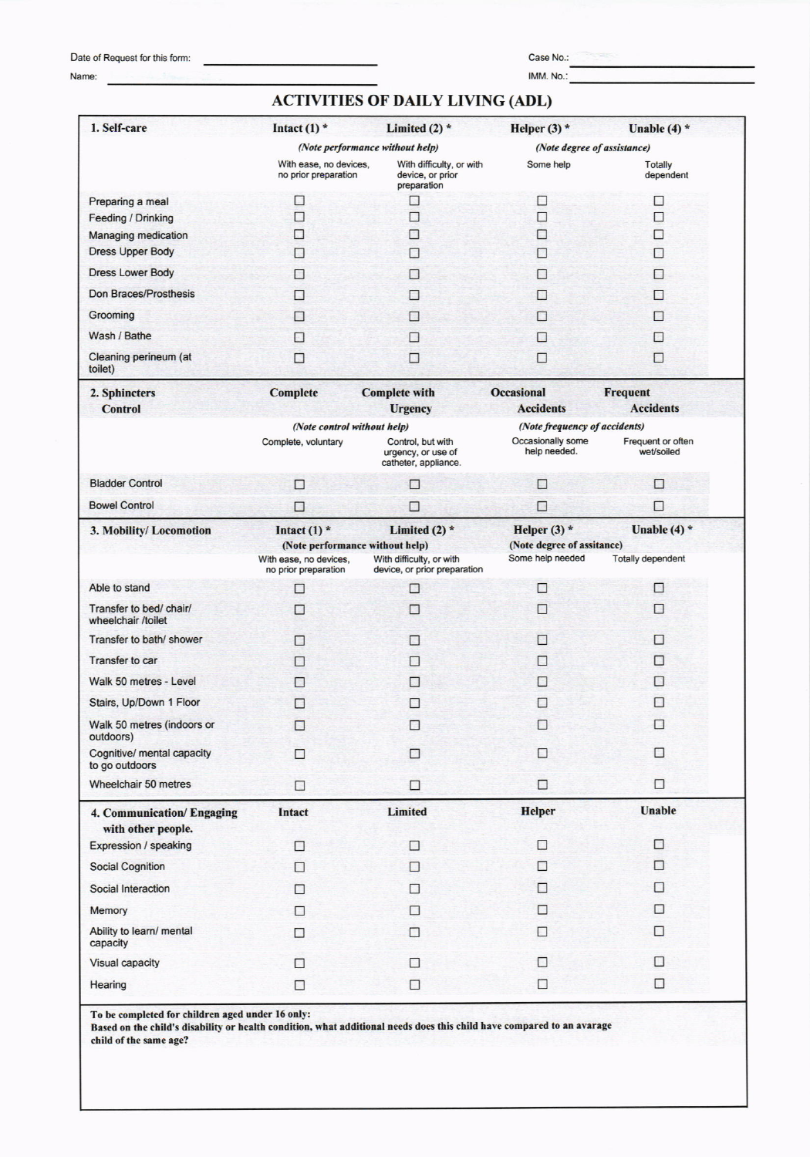## Date of Request for this form:

Name:

Case No.:

IMM. No.:

## **ACTIVITIES OF DAILY LIVING (ADL)**

| 1. Self-care                                  | Intact $(1)$ *                                    | Limited $(2)$ *                                                 | Helper $(3)$ *                               | Unable $(4)$ *                      |  |
|-----------------------------------------------|---------------------------------------------------|-----------------------------------------------------------------|----------------------------------------------|-------------------------------------|--|
|                                               |                                                   | (Note performance without help)                                 |                                              | (Note degree of assistance)         |  |
|                                               | With ease, no devices,<br>no prior preparation    | With difficulty, or with<br>device, or prior<br>preparation     | Some help                                    | <b>Totally</b><br>dependent         |  |
| Preparing a meal                              | $\mathcal{L}$                                     | B                                                               | $\Box$                                       | $\Box$                              |  |
| <b>Feeding / Drinking</b>                     | П                                                 | □                                                               | П                                            | П                                   |  |
| Managing medication                           | □                                                 | П                                                               |                                              | П                                   |  |
| <b>Dress Upper Body</b>                       | П                                                 | <b>COL</b>                                                      | $\mathcal{L}$                                | П                                   |  |
| <b>Dress Lower Body</b>                       | П                                                 |                                                                 |                                              | $\overline{1}$                      |  |
| Don Braces/Prosthesis                         | П                                                 |                                                                 |                                              | $\Box$                              |  |
| Grooming                                      | $\Box$                                            |                                                                 | L.                                           | П                                   |  |
| Wash / Bathe                                  | $\mathcal{L}$                                     |                                                                 |                                              | $\Box$                              |  |
| Cleaning perineum (at<br>toilet)              | □                                                 | B                                                               | $\overline{a}$                               | □                                   |  |
| 2. Sphincters<br><b>Control</b>               | <b>Complete</b>                                   | <b>Complete with</b><br><b>Urgency</b>                          | <b>Occasional</b><br><b>Accidents</b>        | <b>Frequent</b><br><b>Accidents</b> |  |
|                                               | (Note control without help)                       |                                                                 | (Note frequency of accidents)                |                                     |  |
|                                               | Complete, voluntary                               | Control, but with<br>urgency, or use of<br>catheter, appliance. | Occasionally some<br>help needed.            | Frequent or often<br>wet/soiled     |  |
| <b>Bladder Control</b>                        | П                                                 | $\Box$                                                          | □                                            | □                                   |  |
| <b>Bowel Control</b>                          | □                                                 | □                                                               | E                                            | □                                   |  |
| 3. Mobility/Locomotion                        | Intact $(1)$ *<br>(Note performance without help) | Limited $(2)$ *                                                 | Helper $(3)$ *<br>(Note degree of assitance) | Unable $(4)$ *                      |  |
|                                               | With ease, no devices.<br>no prior preparation    | With difficulty, or with<br>device, or prior preparation        | Some help needed                             | <b>Totally dependent</b>            |  |
| Able to stand                                 | $\Box$                                            | П                                                               | □                                            | П                                   |  |
| Transfer to bed/ chair/<br>wheelchair /toilet | $\overline{\phantom{a}}$                          | B                                                               | $\Box$                                       | П                                   |  |
| Transfer to bath/ shower                      | П                                                 | П                                                               | <b>Part 200</b>                              | $\Box$                              |  |
| Transfer to car                               | П                                                 | П                                                               | L.                                           | $\mathcal{L}$                       |  |
| Walk 50 metres - Level                        | $\Box$                                            | П                                                               | ۰                                            | $\Box$                              |  |
| Stairs, Up/Down 1 Floor                       | $\Box$                                            |                                                                 |                                              |                                     |  |
| Walk 50 metres (indoors or                    | $\Box$                                            | $\Box$                                                          | □                                            | $\Box$                              |  |
| outdoors)                                     |                                                   |                                                                 |                                              |                                     |  |
| Cognitive/ mental capacity<br>to go outdoors  | ◘                                                 | $\Box$                                                          | □                                            | □                                   |  |
| Wheelchair 50 metres                          | $\Box$                                            | $\Box$                                                          | Π                                            | $\Box$                              |  |
| 4. Communication/Engaging                     | Intact                                            | Limited                                                         | <b>Helper</b>                                | <b>Unable</b>                       |  |
| with other people.                            |                                                   |                                                                 |                                              | $\Box$                              |  |
| Expression / speaking                         | П                                                 | $\Box$                                                          | □                                            |                                     |  |
| <b>Social Cognition</b>                       | п                                                 | □                                                               | П                                            | п                                   |  |
| Social Interaction                            | □                                                 | □                                                               | $\Box$                                       | п                                   |  |
| Memory                                        | $\Box$                                            | □                                                               | п                                            | П                                   |  |
| Ability to learn/ mental<br>capacity          | П                                                 | П                                                               | п                                            | □                                   |  |
| <b>Visual capacity</b>                        | □                                                 | □                                                               | $\Box$                                       | П                                   |  |
| Hearing                                       | □                                                 | $\Box$                                                          | $\Box$                                       | □                                   |  |

Based on the child's disability or health condition, what additional needs does this child have compared to an avarage child of the same age?